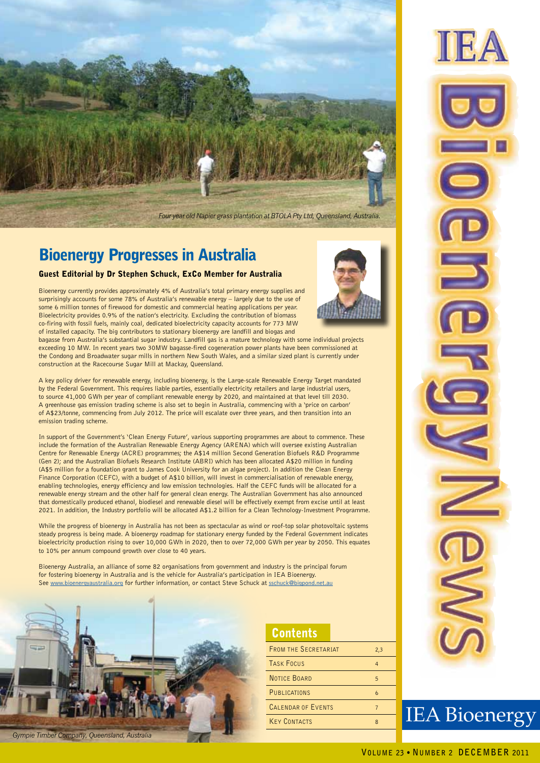

## Bioenergy Progresses in Australia

### Guest Editorial by Dr Stephen Schuck, ExCo Member for Australia

Bioenergy currently provides approximately 4% of Australia's total primary energy supplies and surprisingly accounts for some 78% of Australia's renewable energy – largely due to the use of some 6 million tonnes of firewood for domestic and commercial heating applications per year. Bioelectricity provides 0.9% of the nation's electricity. Excluding the contribution of biomass co-firing with fossil fuels, mainly coal, dedicated bioelectricity capacity accounts for 773 MW of installed capacity. The big contributors to stationary bioenergy are landfill and biogas and

bagasse from Australia's substantial sugar industry. Landfill gas is a mature technology with some individual projects exceeding 10 MW. In recent years two 30MW bagasse-fired cogeneration power plants have been commissioned at the Condong and Broadwater sugar mills in northern New South Wales, and a similar sized plant is currently under construction at the Racecourse Sugar Mill at Mackay, Queensland.

A key policy driver for renewable energy, including bioenergy, is the Large-scale Renewable Energy Target mandated by the Federal Government. This requires liable parties, essentially electricity retailers and large industrial users, to source 41,000 GWh per year of compliant renewable energy by 2020, and maintained at that level till 2030. A greenhouse gas emission trading scheme is also set to begin in Australia, commencing with a 'price on carbon' of A\$23/tonne, commencing from July 2012. The price will escalate over three years, and then transition into an emission trading scheme.

In support of the Government's 'Clean Energy Future', various supporting programmes are about to commence. These include the formation of the Australian Renewable Energy Agency (ARENA) which will oversee existing Australian Centre for Renewable Energy (ACRE) programmes; the A\$14 million Second Generation Biofuels R&D Programme (Gen 2); and the Australian Biofuels Research Institute (ABRI) which has been allocated A\$20 million in funding (A\$5 million for a foundation grant to James Cook University for an algae project). In addition the Clean Energy Finance Corporation (CEFC), with a budget of A\$10 billion, will invest in commercialisation of renewable energy, enabling technologies, energy efficiency and low emission technologies. Half the CEFC funds will be allocated for a renewable energy stream and the other half for general clean energy. The Australian Government has also announced that domestically produced ethanol, biodiesel and renewable diesel will be effectively exempt from excise until at least 2021. In addition, the Industry portfolio will be allocated A\$1.2 billion for a Clean Technology-Investment Programme.

While the progress of bioenergy in Australia has not been as spectacular as wind or roof-top solar photovoltaic systems steady progress is being made. A bioenergy roadmap for stationary energy funded by the Federal Government indicates bioelectricity production rising to over 10,000 GWh in 2020, then to over 72,000 GWh per year by 2050. This equates to 10% per annum compound growth over close to 40 years.

Bioenergy Australia, an alliance of some 82 organisations from government and industry is the principal forum for fostering bioenergy in Australia and is the vehicle for Australia's participation in IEA Bioenergy. See www.bioenergyaustralia.org for further information, or contact Steve Schuck at sschuck@bigpond.net.au



### **Contents**

| <b>FROM THE SECRETARIAT</b> | 2,3 |
|-----------------------------|-----|
| <b>TASK FOCUS</b>           | 4   |
| <b>NOTICE BOARD</b>         | 5   |
| PUBLICATIONS                | 6   |
| <b>CALENDAR OF EVENTS</b>   |     |
| <b>KEY CONTACTS</b>         | 8   |
|                             |     |



IEA Bioenergy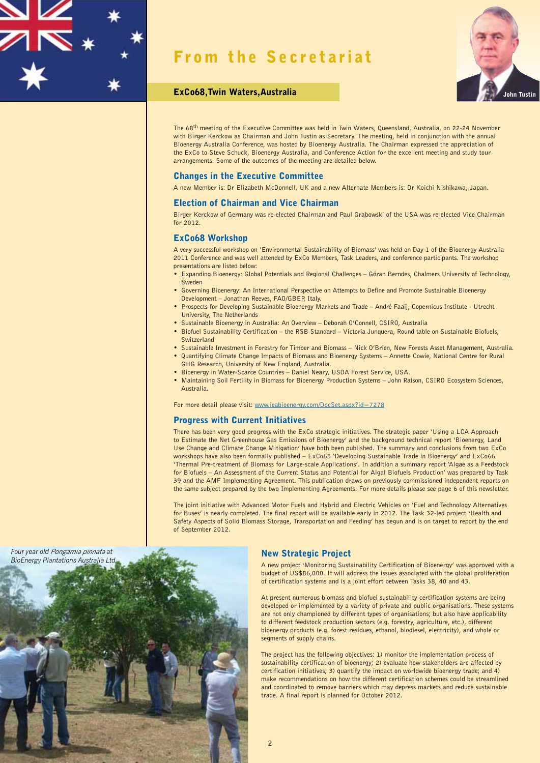## From the Secretariat



### ExCo68, Twin Waters, Australia

The 68<sup>th</sup> meeting of the Executive Committee was held in Twin Waters, Queensland, Australia, on 22-24 November with Birger Kerckow as Chairman and John Tustin as Secretary. The meeting, held in conjunction with the annual Bioenergy Australia Conference, was hosted by Bioenergy Australia. The Chairman expressed the appreciation of the ExCo to Steve Schuck, Bioenergy Australia, and Conference Action for the excellent meeting and study tour arrangements. Some of the outcomes of the meeting are detailed below.

### Changes in the Executive Committee

A new Member is: Dr Elizabeth McDonnell, UK and a new Alternate Members is: Dr Koichi Nishikawa, Japan.

### Election of Chairman and Vice Chairman

Birger Kerckow of Germany was re-elected Chairman and Paul Grabowski of the USA was re-elected Vice Chairman  $for 2012$ 

### ExCo68 Workshop

A very successful workshop on 'Environmental Sustainability of Biomass' was held on Day 1 of the Bioenergy Australia 2011 Conference and was well attended by ExCo Members, Task Leaders, and conference participants. The workshop presentations are listed below:

- Expanding Bioenergy: Global Potentials and Regional Challenges Göran Berndes, Chalmers University of Technology, Sweden
- Governing Bioenergy: An International Perspective on Attempts to Define and Promote Sustainable Bioenergy Development – Jonathan Reeves, FAO/GBEP, Italy.
- Prospects for Developing Sustainable Bioenergy Markets and Trade André Faaij, Copernicus Institute Utrecht University, The Netherlands
- Sustainable Bioenergy in Australia: An Overview Deborah O'Connell, CSIRO, Australia
- Biofuel Sustainability Certification the RSB Standard Victoria Junquera, Round table on Sustainable Biofuels, **Switzerland**
- Sustainable Investment in Forestry for Timber and Biomass Nick O'Brien, New Forests Asset Management, Australia. • Quantifying Climate Change Impacts of Biomass and Bioenergy Systems – Annette Cowie, National Centre for Rural GHG Research, University of New England, Australia.
- Bioenergy in Water-Scarce Countries Daniel Neary, USDA Forest Service, USA.
- Maintaining Soil Fertility in Biomass for Bioenergy Production Systems John Raison, CSIRO Ecosystem Sciences, Australia.

For more detail please visit: www.ieabioenergy.com/DocSet.aspx?id=7278

### Progress with Current Initiatives

There has been very good progress with the ExCo strategic initiatives. The strategic paper 'Using a LCA Approach to Estimate the Net Greenhouse Gas Emissions of Bioenergy' and the background technical report 'Bioenergy, Land Use Change and Climate Change Mitigation' have both been published. The summary and conclusions from two ExCo workshops have also been formally published – ExCo65 'Developing Sustainable Trade in Bioenergy' and ExCo66 'Thermal Pre-treatment of Biomass for Large-scale Applications'. In addition a summary report 'Algae as a Feedstock for Biofuels – An Assessment of the Current Status and Potential for Algal Biofuels Production' was prepared by Task 39 and the AMF Implementing Agreement. This publication draws on previously commissioned independent reports on the same subject prepared by the two Implementing Agreements. For more details please see page 6 of this newsletter.

The joint initiative with Advanced Motor Fuels and Hybrid and Electric Vehicles on 'Fuel and Technology Alternatives for Buses' is nearly completed. The final report will be available early in 2012. The Task 32-led project 'Health and Safety Aspects of Solid Biomass Storage, Transportation and Feeding' has begun and is on target to report by the end of September 2012.



A new project 'Monitoring Sustainability Certification of Bioenergy' was approved with a budget of US\$86,000. It will address the issues associated with the global proliferation of certification systems and is a joint effort between Tasks 38, 40 and 43.

At present numerous biomass and biofuel sustainability certification systems are being developed or implemented by a variety of private and public organisations. These systems are not only championed by different types of organisations; but also have applicability to different feedstock production sectors (e.g. forestry, agriculture, etc.), different bioenergy products (e.g. forest residues, ethanol, biodiesel, electricity), and whole or segments of supply chains.

The project has the following objectives: 1) monitor the implementation process of sustainability certification of bioenergy; 2) evaluate how stakeholders are affected by certification initiatives; 3) quantify the impact on worldwide bioenergy trade; and 4) make recommendations on how the different certification schemes could be streamlined and coordinated to remove barriers which may depress markets and reduce sustainable trade. A final report is planned for October 2012.

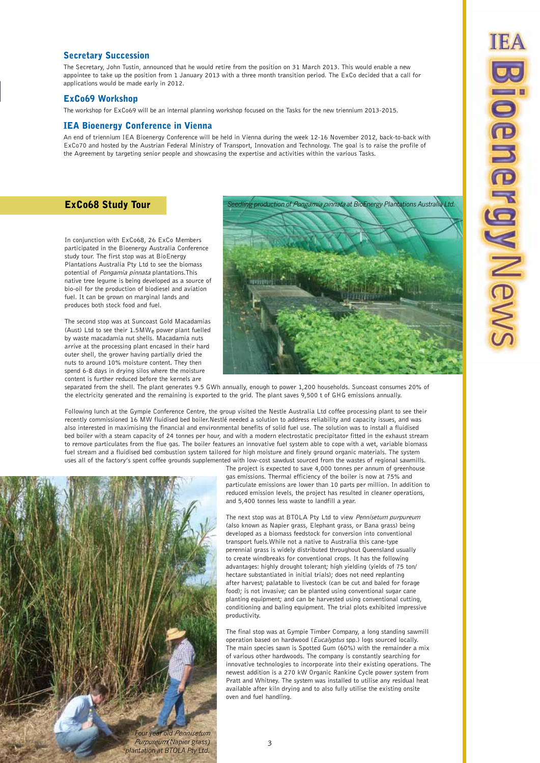### Secretary Succession

The Secretary, John Tustin, announced that he would retire from the position on 31 March 2013. This would enable a new appointee to take up the position from 1 January 2013 with a three month transition period. The ExCo decided that a call for applications would be made early in 2012.

### ExCo69 Workshop

The workshop for ExCo69 will be an internal planning workshop focused on the Tasks for the new triennium 2013-2015.

### IEA Bioenergy Conference in Vienna

An end of triennium IEA Bioenergy Conference will be held in Vienna during the week 12-16 November 2012, back-to-back with ExCo70 and hosted by the Austrian Federal Ministry of Transport, Innovation and Technology. The goal is to raise the profile of the Agreement by targeting senior people and showcasing the expertise and activities within the various Tasks.

In conjunction with ExCo68, 26 ExCo Members participated in the Bioenergy Australia Conference study tour. The first stop was at BioEnergy Plantations Australia Pty Ltd to see the biomass potential of Pongamia pinnata plantations.This native tree legume is being developed as a source of bio-oil for the production of biodiesel and aviation fuel. It can be grown on marginal lands and produces both stock food and fuel.

The second stop was at Suncoast Gold Macadamias (Aust) Ltd to see their 1.5MWe power plant fuelled by waste macadamia nut shells. Macadamia nuts arrive at the processing plant encased in their hard outer shell, the grower having partially dried the nuts to around 10% moisture content. They then spend 6-8 days in drying silos where the moisture content is further reduced before the kernels are



separated from the shell. The plant generates 9.5 GWh annually, enough to power 1,200 households. Suncoast consumes 20% of the electricity generated and the remaining is exported to the grid. The plant saves 9,500 t of GHG emissions annually.

Following lunch at the Gympie Conference Centre, the group visited the Nestle Australia Ltd coffee processing plant to see their recently commissioned 16 MW fluidised bed boiler.Nestlé needed a solution to address reliability and capacity issues, and was also interested in maximising the financial and environmental benefits of solid fuel use. The solution was to install a fluidised bed boiler with a steam capacity of 24 tonnes per hour, and with a modern electrostatic precipitator fitted in the exhaust stream to remove particulates from the flue gas. The boiler features an innovative fuel system able to cope with a wet, variable biomass fuel stream and a fluidised bed combustion system tailored for high moisture and finely ground organic materials. The system uses all of the factory's spent coffee grounds supplemented with low-cost sawdust sourced from the wastes of regional sawmills.



The project is expected to save 4,000 tonnes per annum of greenhouse gas emissions. Thermal efficiency of the boiler is now at 75% and particulate emissions are lower than 10 parts per million. In addition to reduced emission levels, the project has resulted in cleaner operations, and 5,400 tonnes less waste to landfill a year.

The next stop was at BTOLA Pty Ltd to view Pennisetum purpureum (also known as Napier grass, Elephant grass, or Bana grass) being developed as a biomass feedstock for conversion into conventional transport fuels.While not a native to Australia this cane-type perennial grass is widely distributed throughout Queensland usually to create windbreaks for conventional crops. It has the following advantages: highly drought tolerant; high yielding (yields of 75 ton/ hectare substantiated in initial trials); does not need replanting after harvest; palatable to livestock (can be cut and baled for forage food); is not invasive; can be planted using conventional sugar cane planting equipment; and can be harvested using conventional cutting, conditioning and baling equipment. The trial plots exhibited impressive productivity.

The final stop was at Gympie Timber Company, a long standing sawmill operation based on hardwood (Eucalyptus spp.) logs sourced locally. The main species sawn is Spotted Gum (60%) with the remainder a mix of various other hardwoods. The company is constantly searching for innovative technologies to incorporate into their existing operations. The newest addition is a 270 kW Organic Rankine Cycle power system from Pratt and Whitney. The system was installed to utilise any residual heat available after kiln drying and to also fully utilise the existing onsite oven and fuel handling.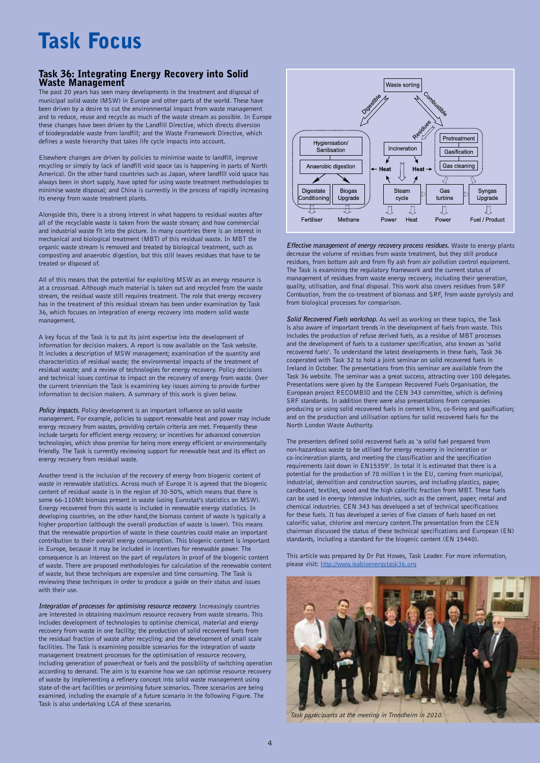## Task Focus

### Task 36: Integrating Energy Recovery into Solid Waste Management

The past 20 years has seen many developments in the treatment and disposal of municipal solid waste (MSW) in Europe and other parts of the world. These have been driven by a desire to cut the environmental impact from waste management and to reduce, reuse and recycle as much of the waste stream as possible. In Europe these changes have been driven by the Landfill Directive, which directs diversion of biodegradable waste from landfill; and the Waste Framework Directive, which defines a waste hierarchy that takes life cycle impacts into account.

Elsewhere changes are driven by policies to minimise waste to landfill, improve recycling or simply by lack of landfill void space (as is happening in parts of North America). On the other hand countries such as Japan, where landfill void space has always been in short supply, have opted for using waste treatment methodologies to minimise waste disposal; and China is currently in the process of rapidly increasing its energy from waste treatment plants.

Alongside this, there is a strong interest in what happens to residual wastes after all of the recyclable waste is taken from the waste stream; and how commercial and industrial waste fit into the picture. In many countries there is an interest in mechanical and biological treatment (MBT) of this residual waste. In MBT the organic waste stream is removed and treated by biological treatment, such as composting and anaerobic digestion, but this still leaves residues that have to be treated or disposed of.

All of this means that the potential for exploiting MSW as an energy resource is at a crossroad. Although much material is taken out and recycled from the waste stream, the residual waste still requires treatment. The role that energy recovery has in the treatment of this residual stream has been under examination by Task 36, which focuses on integration of energy recovery into modern solid waste management.

A key focus of the Task is to put its joint expertise into the development of information for decision makers. A report is now available on the Task website. It includes a description of MSW management; examination of the quantity and characteristics of residual waste; the environmental impacts of the treatment of residual waste; and a review of technologies for energy recovery. Policy decisions and technical issues continue to impact on the recovery of energy from waste. Over the current triennium the Task is examining key issues aiming to provide further information to decision makers. A summary of this work is given below.

**Policy impacts.** Policy development is an important influence on solid waste management. For example, policies to support renewable heat and power may include energy recovery from wastes, providing certain criteria are met. Frequently these include targets for efficient energy recovery; or incentives for advanced conversion technologies, which show promise for being more energy efficient or environmentally friendly. The Task is currently reviewing support for renewable heat and its effect on energy recovery from residual waste.

Another trend is the inclusion of the recovery of energy from biogenic content of waste in renewable statistics. Across much of Europe it is agreed that the biogenic content of residual waste is in the region of 30-50%, which means that there is some 66-110Mt biomass present in waste (using Eurostat's statistics on MSW). Energy recovered from this waste is included in renewable energy statistics. In developing countries, on the other hand,the biomass content of waste is typically a higher proportion (although the overall production of waste is lower). This means that the renewable proportion of waste in these countries could make an important contribution to their overall energy consumption. This biogenic content is important in Europe, because it may be included in incentives for renewable power. The consequence is an interest on the part of regulators in proof of the biogenic content of waste. There are proposed methodologies for calculation of the renewable content of waste, but these techniques are expensive and time consuming. The Task is reviewing these techniques in order to produce a guide on their status and issues with their use.

**Integration of processes for optimising resource recovery.** Increasingly countries are interested in obtaining maximum resource recovery from waste streams. This includes development of technologies to optimise chemical, material and energy recovery from waste in one facility; the production of solid recovered fuels from the residual fraction of waste after recycling; and the development of small scale facilities. The Task is examining possible scenarios for the integration of waste management treatment processes for the optimisation of resource recovery, including generation of power/heat or fuels and the possibility of switching operation according to demand. The aim is to examine how we can optimise resource recovery of waste by implementing a refinery concept into solid waste management using state-of-the-art facilities or promising future scenarios. Three scenarios are being examined, including the example of a future scenario in the following Figure. The Task is also undertaking LCA of these scenarios.



**Effective management of energy recovery process residues.** Waste to energy plants decrease the volume of residues from waste treatment, but they still produce residues, from bottom ash and from fly ash from air pollution control equipment. The Task is examining the regulatory framework and the current status of management of residues from waste energy recovery, including their generation, quality, utilisation, and final disposal. This work also covers residues from SRF Combustion, from the co-treatment of biomass and SRF, from waste pyrolysis and from biological processes for comparison.

**Solid Recovered Fuels workshop.** As well as working on these topics, the Task is also aware of important trends in the development of fuels from waste. This includes the production of refuse derived fuels, as a residue of MBT processes and the development of fuels to a customer specification, also known as 'solid recovered fuels'. To understand the latest developments in these fuels, Task 36 cooperated with Task 32 to hold a joint seminar on solid recovered fuels in Ireland in October. The presentations from this seminar are available from the Task 36 website. The seminar was a great success, attracting over 100 delegates. Presentations were given by the European Recovered Fuels Organisation, the European project RECOMBIO and the CEN 343 committee, which is defining SRF standards. In addition there were also presentations from companies producing or using solid recovered fuels in cement kilns, co-firing and gasification; and on the production and utilisation options for solid recovered fuels for the North London Waste Authority.

The presenters defined solid recovered fuels as 'a solid fuel prepared from non-hazardous waste to be utilised for energy recovery in incineration or co-incineration plants, and meeting the classification and the specification requirements laid down in EN15359'. In total it is estimated that there is a potential for the production of 70 million t in the EU, coming from municipal, industrial, demolition and construction sources, and including plastics, paper, cardboard, textiles, wood and the high calorific fraction from MBT. These fuels can be used in energy intensive industries, such as the cement, paper, metal and chemical industries. CEN 343 has developed a set of technical specifications for these fuels. It has developed a series of five classes of fuels based on net calorific value, chlorine and mercury content.The presentation from the CEN chairman discussed the status of these technical specifications and European (EN) standards, including a standard for the biogenic content (EN 15440).

This article was prepared by Dr Pat Howes, Task Leader. For more information, please visit: http://www.ieabioenergytask36.org



Task participants at the meeting in Trondheim in 2010.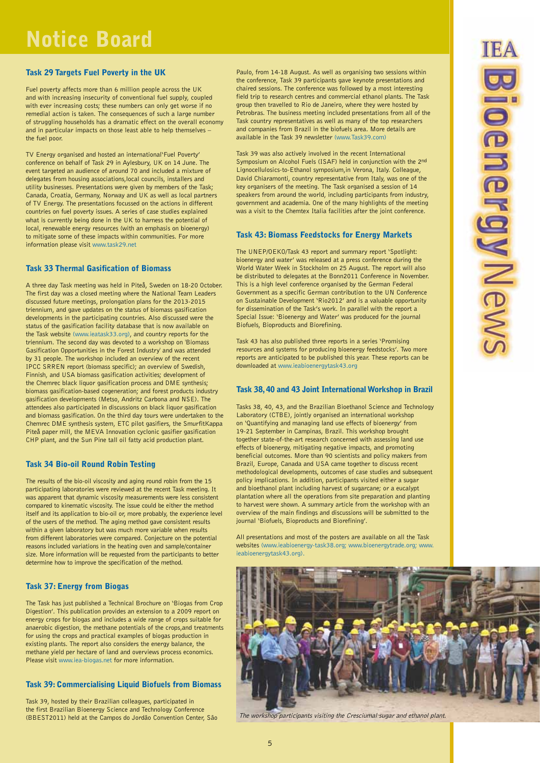## Notice Board

### Task 29 Targets Fuel Poverty in the UK

Fuel poverty affects more than 6 million people across the UK and with increasing insecurity of conventional fuel supply, coupled with ever increasing costs; these numbers can only get worse if no remedial action is taken. The consequences of such a large number of struggling households has a dramatic effect on the overall economy and in particular impacts on those least able to help themselves – the fuel poor.

TV Energy organised and hosted an international'Fuel Poverty' conference on behalf of Task 29 in Aylesbury, UK on 14 June. The event targeted an audience of around 70 and included a mixture of delegates from housing associations,local councils, installers and utility businesses. Presentations were given by members of the Task; Canada, Croatia, Germany, Norway and UK as well as local partners of TV Energy. The presentations focussed on the actions in different countries on fuel poverty issues. A series of case studies explained what is currently being done in the UK to harness the potential of local, renewable energy resources (with an emphasis on bioenergy) to mitigate some of these impacts within communities. For more information please visit www.task29.net

### Task 33 Thermal Gasification of Biomass

A three day Task meeting was held in Piteå, Sweden on 18-20 October. The first day was a closed meeting where the National Team Leaders discussed future meetings, prolongation plans for the 2013-2015 triennium, and gave updates on the status of biomass gasification developments in the participating countries. Also discussed were the status of the gasification facility database that is now available on the Task website (www.ieatask33.org), and country reports for the triennium. The second day was devoted to a workshop on 'Biomass Gasification Opportunities in the Forest Industry' and was attended by 31 people. The workshop included an overview of the recent IPCC SRREN report (biomass specific); an overview of Swedish, Finnish, and USA biomass gasification activities; development of the Chemrec black liquor gasification process and DME synthesis; biomass gasification-based cogeneration; and forest products industry gasification developments (Metso, Andritz Carbona and NSE). The attendees also participated in discussions on black liquor gasification and biomass gasification. On the third day tours were undertaken to the Chemrec DME synthesis system, ETC pilot gasifiers, the SmurfitKappa Piteå paper mill, the MEVA Innovation cyclonic gasifier gasification CHP plant, and the Sun Pine tall oil fatty acid production plant.

### Task 34 Bio-oil Round Robin Testing

The results of the bio-oil viscosity and aging round robin from the 15 participating laboratories were reviewed at the recent Task meeting. It was apparent that dynamic viscosity measurements were less consistent compared to kinematic viscosity. The issue could be either the method itself and its application to bio-oil or, more probably, the experience level of the users of the method. The aging method gave consistent results within a given laboratory but was much more variable when results from different laboratories were compared. Conjecture on the potential reasons included variations in the heating oven and sample/container size. More information will be requested from the participants to better determine how to improve the specification of the method.

### Task 37: Energy from Biogas

The Task has just published a Technical Brochure on 'Biogas from Crop Digestion'. This publication provides an extension to a 2009 report on energy crops for biogas and includes a wide range of crops suitable for anaerobic digestion, the methane potentials of the crops,and treatments for using the crops and practical examples of biogas production in existing plants. The report also considers the energy balance, the methane yield per hectare of land and overviews process economics. Please visit www.iea-biogas.net for more information.

### Task 39: Commercialising Liquid Biofuels from Biomass

Task 39, hosted by their Brazilian colleagues, participated in the first Brazilian Bioenergy Science and Technology Conference (BBEST2011) held at the Campos do Jordão Convention Center, São Paulo, from 14-18 August. As well as organising two sessions within the conference, Task 39 participants gave keynote presentations and chaired sessions. The conference was followed by a most interesting field trip to research centres and commercial ethanol plants. The Task group then travelled to Rio de Janeiro, where they were hosted by Petrobras. The business meeting included presentations from all of the Task country representatives as well as many of the top researchers and companies from Brazil in the biofuels area. More details are available in the Task 39 newsletter (www.Task39.com)

Task 39 was also actively involved in the recent International Symposium on Alcohol Fuels (ISAF) held in conjunction with the 2nd Lignocellulosics-to-Ethanol symposium,in Verona, Italy. Colleague, David Chiaramonti, country representative from Italy, was one of the key organisers of the meeting. The Task organised a session of 14 speakers from around the world, including participants from industry, government and academia. One of the many highlights of the meeting was a visit to the Chemtex Italia facilities after the joint conference.

### Task 43: Biomass Feedstocks for Energy Markets

The UNEP/OEKO/Task 43 report and summary report 'Spotlight: bioenergy and water' was released at a press conference during the World Water Week in Stockholm on 25 August. The report will also be distributed to delegates at the Bonn2011 Conference in November. This is a high level conference organised by the German Federal Government as a specific German contribution to the UN Conference on Sustainable Development 'Rio2012' and is a valuable opportunity for dissemination of the Task's work. In parallel with the report a Special Issue: 'Bioenergy and Water' was produced for the journal Biofuels, Bioproducts and Biorefining.

Task 43 has also published three reports in a series 'Promising resources and systems for producing bioenergy feedstocks'. Two more reports are anticipated to be published this year. These reports can be downloaded at www.ieabioenergytask43.org

### Task 38, 40 and 43 Joint International Workshop in Brazil

Tasks 38, 40, 43, and the Brazilian Bioethanol Science and Technology Laboratory (CTBE), jointly organised an international workshop on 'Quantifying and managing land use effects of bioenergy' from 19-21 September in Campinas, Brazil. This workshop brought together state-of-the-art research concerned with assessing land use effects of bioenergy, mitigating negative impacts, and promoting beneficial outcomes. More than 90 scientists and policy makers from Brazil, Europe, Canada and USA came together to discuss recent methodological developments, outcomes of case studies and subsequent policy implications. In addition, participants visited either a sugar and bioethanol plant including harvest of sugarcane; or a eucalypt plantation where all the operations from site preparation and planting to harvest were shown. A summary article from the workshop with an overview of the main findings and discussions will be submitted to the journal 'Biofuels, Bioproducts and Biorefining'.

All presentations and most of the posters are available on all the Task websites (www.ieabioenergy-task38.org; www.bioenergytrade.org; www. ieabioenergytask43.org).



The workshop participants visiting the Cresciumal sugar and ethanol plant.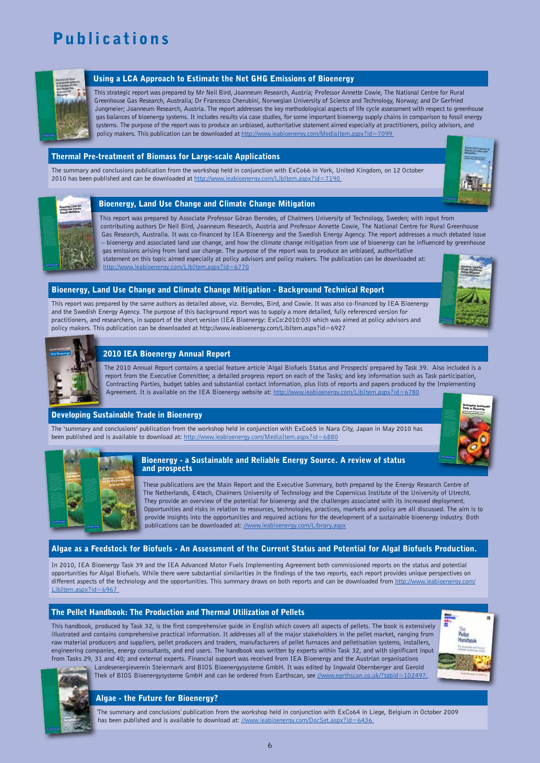## **Publications**



### Using a LCA Approach to Estimate the Net GHG Emissions of Bioenergy

This strategic report was prepared by Mr Neil Bird, Joanneum Research, Austria; Professor Annette Cowie, The National Centre for Rural Greenhouse Gas Research, Australia; Dr Francesco Cherubini, Norwegian University of Science and Technology, Norway; and Dr Gerfried Jungmeier; Joanneum Research, Austria. The report addresses the key methodological aspects of life cycle assessment with respect to greenhouse gas balances of bioenergy systems. It includes results via case studies, for some important bioenergy supply chains in comparison to fossil energy systems. The purpose of the report was to produce an unbiased, authoritative statement aimed especially at practitioners, policy advisors, and policy makers. This publication can be downloaded at http://www.ieabioenergy.com/MediaItem.aspx?id=7099

### Thermal Pre-treatment of Biomass for Large-scale Applications

The summary and conclusions publication from the workshop held in conjunction with ExCo66 in York, United Kingdom, on 12 October 2010 has been published and can be downloaded at http://www.ieabioenergy.com/LibItem.aspx?id=7190





### Bioenergy, Land Use Change and Climate Change Mitigation

This report was prepared by Associate Professor Göran Berndes, of Chalmers University of Technology, Sweden; with input from contributing authors Dr Neil Bird, Joanneum Research, Austria and Professor Annette Cowie, The National Centre for Rural Greenhouse Gas Research, Australia. It was co-financed by IEA Bioenergy and the Swedish Energy Agency. The report addresses a much debated issue – bioenergy and associated land use change, and how the climate change mitigation from use of bioenergy can be influenced by greenhouse gas emissions arising from land use change. The purpose of the report was to produce an unbiased, authoritative statement on this topic aimed especially at policy advisors and policy makers. The publication can be downloaded at: http://www.ieabioenergy.com/LibItem.aspx?id=6770

### Bioenergy, Land Use Change and Climate Change Mitigation - Background Technical Report

This report was prepared by the same authors as detailed above, viz. Berndes, Bird, and Cowie. It was also co-financed by IEA Bioenergy and the Swedish Energy Agency. The purpose of this background report was to supply a more detailed, fully referenced version for practitioners, and researchers, in support of the short version (IEA Bioenergy: ExCo:2010:03) which was aimed at policy advisors and policy makers. This publication can be downloaded at http://www.ieabioenergy.com/LibItem.aspx?id=6927





### 2010 IEA Bioenergy Annual Report

The 2010 Annual Report contains a special feature article 'Algal Biofuels Status and Prospects' prepared by Task 39. Also included is a report from the Executive Committee; a detailed progress report on each of the Tasks; and key information such as Task participation, Contracting Parties, budget tables and substantial contact information, plus lists of reports and papers produced by the Implementing Agreement. It is available on the IEA Bioenergy website at: http://www.ieabioenergy.com/LibItem.aspx?id=6780

### Developing Sustainable Trade in Bioenergy

The 'summary and conclusions' publication from the workshop held in conjunction with ExCo65 in Nara City, Japan in May 2010 has been published and is available to download at: http://www.ieabioenergy.com/MediaItem.aspx?id=6880





### Bioenergy - a Sustainable and Reliable Energy Source. A review of status and prospects

These publications are the Main Report and the Executive Summary, both prepared by the Energy Research Centre of The Netherlands, E4tech, Chalmers University of Technology and the Copernicus Institute of the University of Utrecht. They provide an overview of the potential for bioenergy and the challenges associated with its increased deployment. Opportunities and risks in relation to resources, technologies, practices, markets and policy are all discussed. The aim is to provide insights into the opportunities and required actions for the development of a sustainable bioenergy industry. Both publications can be downloaded at: //www.ieabioenergy.com/Library.aspx

### Algae as a Feedstock for Biofuels - An Assessment of the Current Status and Potential for Algal Biofuels Production.

In 2010, IEA Bioenergy Task 39 and the IEA Advanced Motor Fuels Implementing Agreement both commissioned reports on the status and potential opportunities for Algal Biofuels. While there were substantial similarities in the findings of the two reports, each report provides unique perspectives on different aspects of the technology and the opportunities. This summary draws on both reports and can be downloaded from http://www.ieabioenergy.com/ LibItem.aspx?id=6967

### The Pellet Handbook: The Production and Thermal Utilization of Pellets

This handbook, produced by Task 32, is the first comprehensive guide in English which covers all aspects of pellets. The book is extensively illustrated and contains comprehensive practical information. It addresses all of the major stakeholders in the pellet market, ranging from raw material producers and suppliers, pellet producers and traders, manufacturers of pellet furnaces and pelletisation systems, installers, engineering companies, energy consultants, and end users. The handbook was written by experts within Task 32, and with significant input from Tasks 29, 31 and 40; and external experts. Financial support was received from IEA Bioenergy and the Austrian organisations





Landesenergieverein Steiermark and BIOS Bioenergysysteme GmbH. It was edited by Ingwald Obernberger and Gerold Thek of BIOS Bioenergysysteme GmbH and can be ordered from Earthscan, see //www.earthscan.co.uk/?tabid=102497.

### Algae - the Future for Bioenergy?

'The summary and conclusions' publication from the workshop held in conjunction with ExCo64 in Liege, Belgium in October 2009 has been published and is available to download at: //www.ieabioenergy.com/DocSet.aspx?id=6436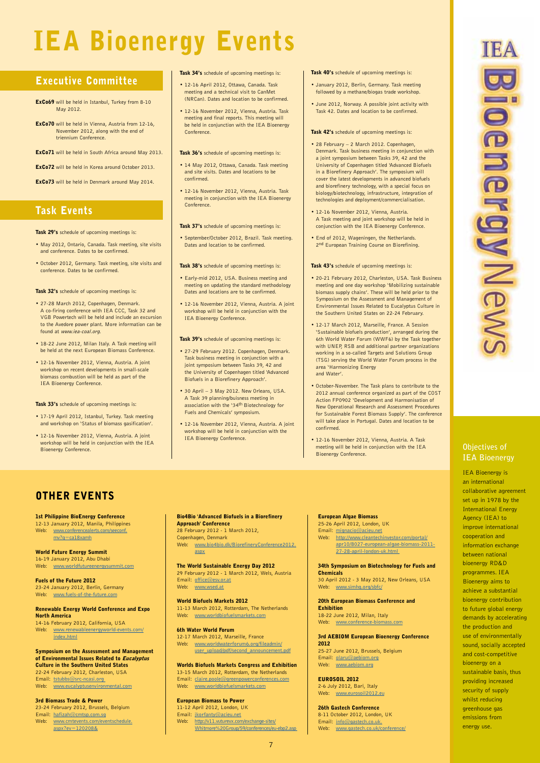# IEA Bioenergy Events

### Executive Committee

- ExCo69 will be held in Istanbul, Turkey from 8-10 May 2012.
- ExCo70 will be held in Vienna, Austria from 12-16, November 2012, along with the end of triennium Conference.
- ExCo71 will be held in South Africa around May 2013.
- ExCo72 will be held in Korea around October 2013.
- ExCo73 will be held in Denmark around May 2014.

### Task Events

### Task 29's schedule of upcoming meetings is:

- May 2012, Ontario, Canada. Task meeting, site visits and conference. Dates to be confirmed.
- October 2012, Germany. Task meeting, site visits and conference. Dates to be confirmed.

Task 32's schedule of uncoming meetings is:

- 27-28 March 2012, Copenhagen, Denmark. A co-firing conference with IEA CCC, Task 32 and VGB Powertech will be held and include an excursion to the Avedore power plant. More information can be found at www.iea-coal.org.
- 18-22 June 2012, Milan Italy. A Task meeting will be held at the next European Biomass Conference
- 12-16 November 2012, Vienna, Austria. A joint workshop on recent developments in small-scale biomass combustion will be held as part of the IEA Bioenergy Conference.

Task 33's schedule of upcoming meetings is:

- 17-19 April 2012, Istanbul, Turkey. Task meeting and workshop on 'Status of biomass gasification'.
- 12-16 November 2012, Vienna, Austria. A joint workshop will be held in conjunction with the IEA Bioenergy Conference.

### Task 34's schedule of upcoming meetings is:

- 12-16 April 2012, Ottawa, Canada. Task meeting and a technical visit to CanMet (NRCan). Dates and location to be confirmed.
- 12-16 November 2012, Vienna, Austria. Task meeting and final reports. This meeting will be held in conjunction with the IEA Bioenergy Conference.

### Task 36's schedule of upcoming meetings is:

- 14 May 2012, Ottawa, Canada. Task meeting and site visits. Dates and locations to be confirmed.
- 12-16 November 2012, Vienna, Austria. Task meeting in conjunction with the IEA Bioenergy Conference.

### Task 37's schedule of upcoming meetings is:

• September/October 2012, Brazil. Task meeting. Dates and location to be confirmed.

### Task 38's schedule of uncoming meetings is:

- Early-mid 2012, USA. Business meeting and meeting on updating the standard methodology Dates and locations are to be confirmed.
- 12-16 November 2012, Vienna, Austria. A joint workshop will be held in conjunction with the IEA Bioenergy Conference.

### Task 39's schedule of upcoming meetings is:

- 27-29 February 2012. Copenhagen, Denmark. Task business meeting in conjunction with a joint symposium between Tasks 39, 42 and the University of Copenhagen titled 'Advanced Biofuels in a Biorefinery Approach'.
- 30 April 3 May 2012. New Orleans, USA. A Task 39 planning/buisness meeting in<br>association with the '34<sup>th</sup> Biotechnology for Fuels and Chemicals' symposium.
- 12-16 November 2012, Vienna, Austria. A joint workshop will be held in conjunction with the IEA Bioenergy Conference.

### Task 40's schedule of upcoming meetings is:

- January 2012, Berlin, Germany. Task meeting followed by a methane/biogas trade workshop
- June 2012, Norway. A possible joint activity with Task 42. Dates and location to be confirmed.

### Task 42's schedule of upcoming meetings is:

- 28 February 2 March 2012. Copenhagen, Denmark. Task business meeting in conjunction with a joint symposium between Tasks 39, 42 and the University of Copenhagen titled 'Advanced Biofuels in a Biorefinery Approach'. The symposium will cover the latest developments in advanced biofuels and biorefinery technology, with a special focus on biology/biotechnology, infrastructure, integration of technologies and deployment/commercialisation.
- 12-16 November 2012, Vienna, Austria. A Task meeting and joint workshop will be held in conjunction with the IEA Bioenergy Conference.
- End of 2012, Wageningen, the Netherlands. 2<sup>nd</sup> European Training Course on Biorefining.

### Task 43's schedule of uncoming meetings is:

- 20-21 February 2012, Charleston, USA, Task Business meeting and one day workshop 'Mobilizing sustainable biomass supply chains'. These will be held prior to the Symposium on the Assessment and Management of Environmental Issues Related to Eucalyptus Culture in the Southern United States on 22-24 February.
- 12-17 March 2012, Marseille, France. A Session 'Sustainable biofuels production', arranged during the 6th World Water Forum (WWF6) by the Task together with UNEP, RSB and additional partner organizations working in a so-called Targets and Solutions Group (TSG) serving the World Water Forum process in the area 'Harmonizing Energy and Water'.
- October-November. The Task plans to contribute to the 2012 annual conference organized as part of the COST Action FP0902 'Development and Harmonisation of New Operational Research and Assessment Procedures for Sustainable Forest Biomass Supply'. The conference will take place in Portugal. Dates and location to be confirmed.
- 12-16 November 2012, Vienna, Austria. A Task meeting will be held in conjunction with the IEA Bioenergy Conference.

### Other Events

### 1st Philippine BioEnergy Conference

12-13 January 2012, Manila, Philippines Web: www.conferencealerts.com/seeconf. mv?q=ca18xamh

World Future Energy Summit 16-19 January 2012, Abu Dhabi Web: www.worldfutureenergysummit.com

Fuels of the Future 2012 23-24 January 2012, Berlin, Germany Web: www.fuels-of-the-future.com

#### Renewable Energy World Conference and Expo North America

14-16 February 2012, California, USA Web: www.renewableenergyworld-events.com/ index.html

### Symposium on the Assessment and Management of Environmental Issues Related to Eucalyptus

Culture in the Southern United States 22-24 February 2012, Charleston, USA Email: tstubbs@src-ncasi.org Web: www.eucalyptusenvironmental.com

### 3rd Biomass Trade & Power

23-24 February 2012, Brussels, Belgium Email: hafizah@cmtsp.com.sg Web: www.cmtevents.com/eventschedule. aspx?ev=120208&

### Bio4Bio 'Advanced Biofuels in a Biorefinery

Approach' Conference 28 February 2012 - 1 March 2012, Copenhagen, Denmark Web: www.bio4bio.dk/BiorefineryConference2012. aspx

The World Sustainable Energy Day 2012 29 February 2012 - 1 March 2012, Wels, Austria Email: office@esv.or.at Web: www.wsed.at

### World Biofuels Markets 2012

11-13 March 2012, Rotterdam, The Netherlands Web: www.worldbiofuelsmarkets.com

#### 6th Water World Forum 12-17 March 2012, Marseille, France

Web: www.worldwaterforum6.org/fileadmin/ user\_upload/pdf/second\_announcement.pdf

### Worlds Biofuels Markets Congress and Exhibition

13-15 March 2012, Rotterdam, the Netherlands Email: claire.poole@greenpowerconferences.com

Web: www.worldbiofuelsmarkets.com

### European Biomass to Power

11-12 April 2012, London, UK Email: jkorfanty@acieu.net Web: http://v11.vuturevx.com/exchange-sites/

Whitmore%20Group/59/conferences/eu-ebp2.asp

### European Algae Biomass

25-26 April 2012, London, UK Email: mignacio@acieu.net

Web: http://www.cleantechinvestor.com/portal/ apr10/8027-european-algae-biomass-2011- 27-28-april-london-uk.html

#### 34th Symposium on Biotechnology for Fuels and

Chemicals 30 April 2012 - 3 May 2012, New Orleans, USA Web: www.simhq.org/sbfc/

#### 20th European Biomass Conference and Exhibition

18-22 June 2012, Milan, Italy Web: www.conference-biomass.com

### 3rd AEBIOM European Bioenergy Conference 2012

25-27 June 2012, Brussels, Belgium Email: olaru@aebiom.org Web: www.aebiom.org

#### EUROSOIL 2012 2-6 July 2012, Bari, Italy Web: www.eurosoil2012.eu

26th Gastech Conference 8-11 October 2012, London, UK Email: info@gastech.co.uk. Web: www.gastech.co.uk/conference/

### **Objectives of IEA Bioenergy**

IEA Bioenergy is an international collaborative agreement set up in 1978 by the International Energy Agency (IEA) to improve international cooperation and information exchange between national bioenergy RD&D programmes. IEA Bioenergy aims to achieve a substantial bioenergy contribution to future global energy demands by accelerating the production and use of environmentally sound, socially accepted and cost-competitive bioenergy on a sustainable basis, thus providing increased security of supply whilst reducing greenhouse gas emissions from energy use.